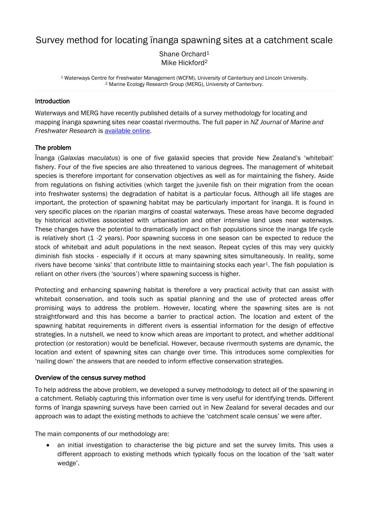# Survey method for locating īnanga spawning sites at a catchment scale

Shane Orchard<sup>1</sup> Mike Hickford<sup>2</sup>

<sup>1</sup> Waterways Centre for Freshwater Management (WCFM), University of Canterbury and Lincoln University. <sup>2</sup> Marine Ecology Research Group (MERG), University of Canterbury.

# Introduction

Waterways and MERG have recently published details of a survey methodology for locating and mapping īnanga spawning sites near coastal rivermouths. The full paper in *NZ Journal of Marine and Freshwater Research* is [available](http://www.tandfonline.com/eprint/buYqjFcKyNnagJWqtMAV/full) online.

### The problem

Īnanga (*Galaxias maculatus*) is one of five galaxiid species that provide New Zealand's 'whitebait' fishery. Four of the five species are also threatened to various degrees. The management of whitebait species is therefore important for conservation objectives as well as for maintaining the fishery. Aside from regulations on fishing activities (which target the juvenile fish on their migration from the ocean into freshwater systems) the degradation of habitat is a particular focus. Although all life stages are important, the protection of spawning habitat may be particularly important for īnanga. It is found in very specific places on the riparian margins of coastal waterways. These areas have become degraded by historical activities associated with urbanisation and other intensive land uses near waterways. These changes have the potential to dramatically impact on fish populations since the inanga life cycle is relatively short (1 -2 years). Poor spawning success in one season can be expected to reduce the stock of whitebait and adult populations in the next season. Repeat cycles of this may very quickly diminish fish stocks - especially if it occurs at many spawning sites simultaneously. In reality, some rivers have become 'sinks' that contribute little to maintaining stocks each year<sup>1</sup>. The fish population is reliant on other rivers (the 'sources') where spawning success is higher.

Protecting and enhancing spawning habitat is therefore a very practical activity that can assist with whitebait conservation, and tools such as spatial planning and the use of protected areas offer promising ways to address the problem. However, locating where the spawning sites are is not straightforward and this has become a barrier to practical action. The location and extent of the spawning habitat requirements in different rivers is essential information for the design of effective strategies. In a nutshell, we need to know which areas are important to protect, and whether additional protection (or restoration) would be beneficial. However, because rivermouth systems are dynamic, the location and extent of spawning sites can change over time. This introduces some complexities for 'nailing down' the answers that are needed to inform effective conservation strategies.

#### Overview of the census survey method

To help address the above problem, we developed a survey methodology to detect all of the spawning in a catchment. Reliably capturing this information over time is very useful for identifying trends. Different forms of īnanga spawning surveys have been carried out in New Zealand for several decades and our approach was to adapt the existing methods to achieve the 'catchment scale census' we were after.

The main components of our methodology are:

• an initial investigation to characterise the big picture and set the survey limits. This uses a different approach to existing methods which typically focus on the location of the 'salt water wedge'.